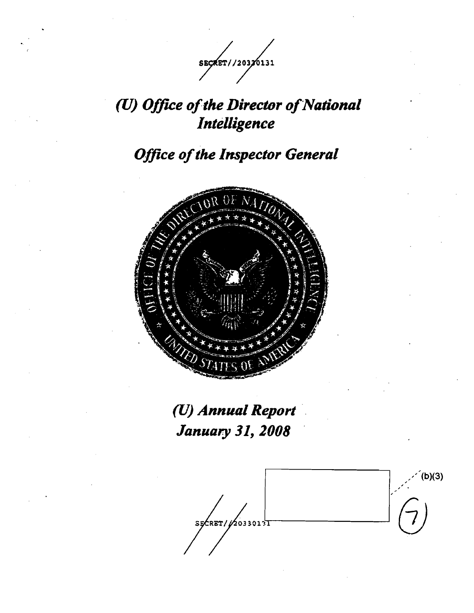

# (U) Office of the Director of National *Intelligence*

*Office of the Inspector General* 



(U) *Annual Report January* 31, *2008 .* 

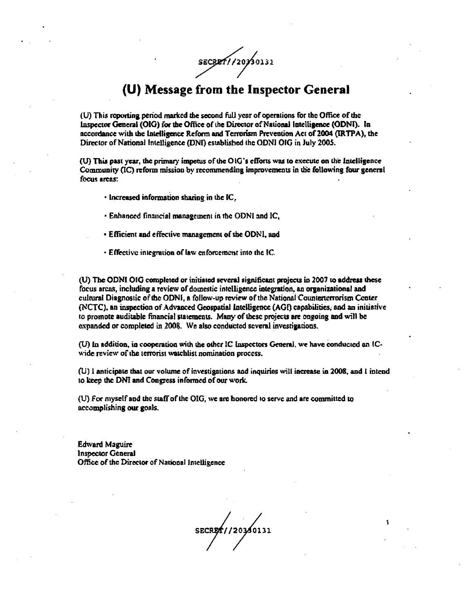SECRETI/20730131

## (U) Message from the Inspector General

(U) This reporting period marked the second full year of operations for the Office of the Inspector General (OIG) for the Office of the Director of National Intelligence (ODNI). In accordance with the Intelligence Reform and Terrorism Prevention Act of 2004 (IRTPA), the Director of National Intelligence (DNI) established the ODNI OIG in July 2005.

(U) This past year, the primary impetus of the OIG's efforts was to execute on the Intelligence Community (IC) reform mission by recommending improvements in the following four general focus areas:

· Increased information sharing in the IC.

- Enhanced financial management in the ODNI and IC.
- · Efficient and effective management of the ODNI, and
- Effective integration of law enforcement into the IC.

(U) The ODNI OIG completed or initiated several significant projects in 2007 to address these focus areas, including a review of domestic intelligence integration, an organizational and cultural Diagnostic of the ODNI, a follow-up review of the National Counterterrorism Center (NCTC), an inspection of Advanced Geospatial Intelligence (AGI) capabilities, and an initiative to promote auditable financial statements. Many of these projects are ongoing and will be expanded or completed in 2008. We also conducted several investigations.

(U) In addition, in cooperation with the other IC Inspectors General, we have conducted an ICwide review of the terrorist watchlist nomination process.

(U) I anticipate that our volume of investigations and inquiries will increase in 2008, and I intend to keep the DNI and Congress informed of our work.

(U) For myself and the staff of the OIG, we are honored to serve and are committed to accomplishing our goals.

**Edward Maguire** Inspector General Office of the Director of National Intelligence

SECRET//2030131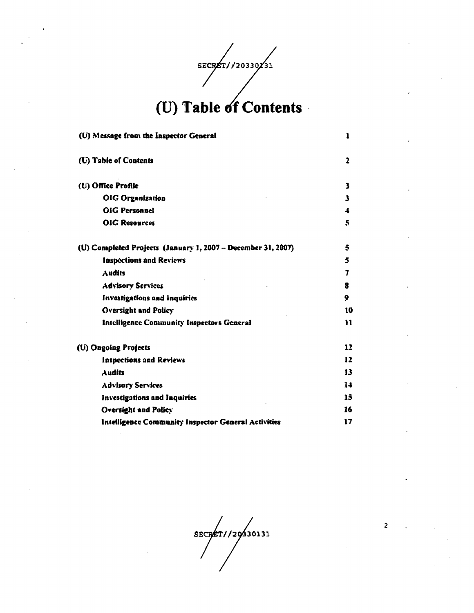SECRET//20330/31

| (U) Message from the Inspector General                       | 1              |
|--------------------------------------------------------------|----------------|
| (U) Table of Contents                                        | 2              |
| (U) Office Profile                                           | 3              |
| OIG Organization                                             | 3              |
| <b>OIG Personnel</b>                                         | 4              |
| <b>OIG Resources</b>                                         | 5              |
| (U) Completed Projects (January 1, 2007 - December 31, 2007) | 5              |
| <b>Inspections and Reviews</b>                               | 5              |
| Audits                                                       | $\overline{7}$ |
| <b>Advisory Services</b>                                     | 8              |
| <b>Investigations and Inquiries</b>                          | 9              |
| <b>Oversight and Policy</b>                                  | 10             |
| <b>Intelligence Community Inspectors General</b>             | 11             |
| (U) Ongoing Projects                                         | 12             |
| <b>Inspections and Reviews</b>                               | 12             |
| Audits                                                       | 13             |
| <b>Advisory Services</b>                                     | 14             |
| <b>Investigations and Inquiries</b>                          | 15             |
| <b>Oversight and Policy</b>                                  | 16             |
| Intelligence Community Inspector General Activities          | 17             |

SECRET//20930131

 $\overline{c}$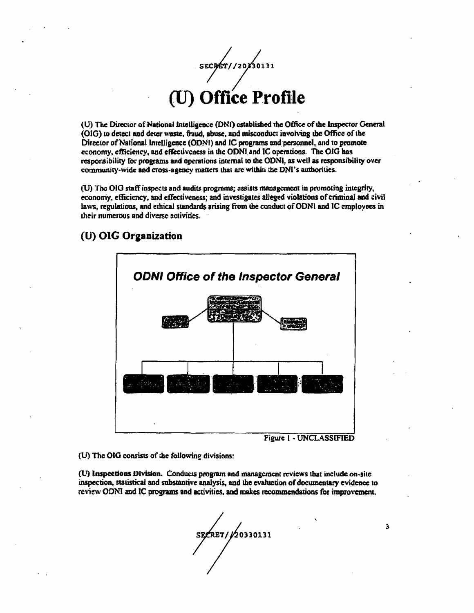SECRET//20230131

(U) The Director of National Intelligence (DNI) established the Office of the Inspector General (OIG) to detect and deter waste, fraud, abuse, and misconduct involving the Office of the Director of National Intelligence (ODNI) and IC programs and personnel, and to promote economy, efficiency, and effectiveness in the ODNI and IC operations. The OIG has responsibility for programs and operations internal to the ODNI, as well as responsibility over community-wide and cross-agency matters that are within the DNI's authorities.

(U) The OIG staff inspects and audits programs; assists management in promoting integrity, economy, efficiency, and effectiveness; and investigates alleged violations of criminal and civil laws, regulations, and ethical standards arising from the conduct of ODNI and IC employees in their numerous and diverse activities.

### (U) OIG Organization



Figure 1 - UNCLASSIFIED

3

(U) The OIG consists of the following divisions:

(U) Inspections Division. Conducts program and management reviews that include on-site inspection, statistical and substantive analysis, and the evaluation of documentary evidence to review ODNI and IC programs and activities, and makes recommendations for improvement,

SECRET/20330131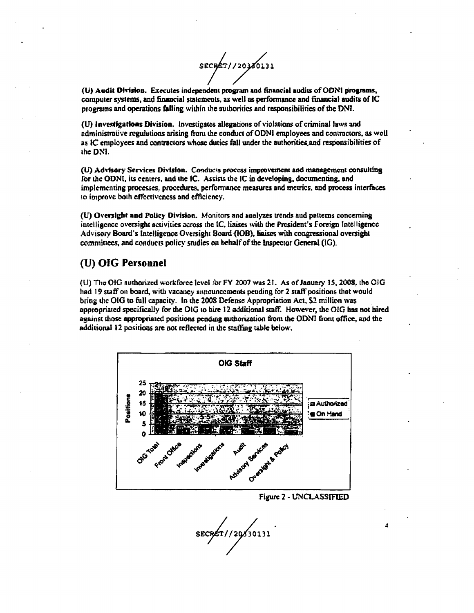SECRET//20380131

(U) Audit Division. Executes independent program and financial audits of ODNI programs, computer systems, and financial statements, as well as performance and financial audits of IC programs and operations falling within the authorities and responsibilities of the DNI.

(U) investigations Division. Investigates allegations of violations of criminal laws and administrative regulations arising from the conduct of ODNI employees and contractors, as well as IC employees and contractors whose duties fall under the authorities and responsibilities of the DNI.

(U) Advisory Services Division. Conducts process improvement and management consulting for the ODNI, its centers, and the IC. Assists the IC in developing, documenting, and implementing processes, procedures, performance measures and metrics, and process interfaces to improve both effectiveness and efficiency.

(U) Oversight and Policy Division. Monitors and analyzes trends and patterns concerning intelligence oversight activities across the IC, liaises with the President's Foreign Intelligence Advisory Board's Intelligence Oversight Board (IOB), liaises with congressional oversight committees, and conducts policy studies on behalf of the Inspector General (IG).

### (U) OIG Personnel

(U) The OIG authorized workforce level for FY 2007 was 21. As of January 15, 2008, the OIG had 19 staff on board, with vacancy announcements pending for 2 staff positions that would bring the OIG to full capacity. In the 2008 Defense Appropriation Act, \$2 million was appropriated specifically for the OIG to hire 12 additional staff. However, the OIG has not hired against those appropriated positions pending authorization from the ODNI front office, and the additional 12 positions are not reflected in the staffing table below.



**Figure 2 - UNCLASSIFIED** 

SECRET//20130131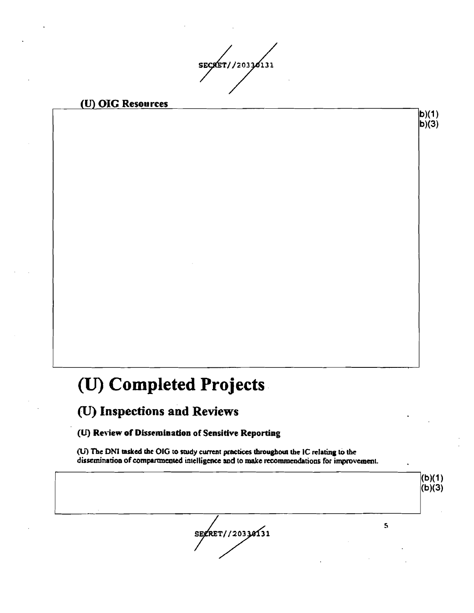SECRET//20330131

 $|b)(1)$  $|b)(3)$ 

### (U) OIG Resources

# (U) Completed Projects

# (U) Inspections and Reviews

### (U) Review of Dissemination of Sensitive Reporting

(U) The DNI tasked the OIG to study current practices throughout the IC relating to the dissemination of compartmented intelligence and to make recommendations for improvement.

 $(b)(1)$  $(b)(3)$ SEZRET//20330131  $\overline{\mathbf{s}}$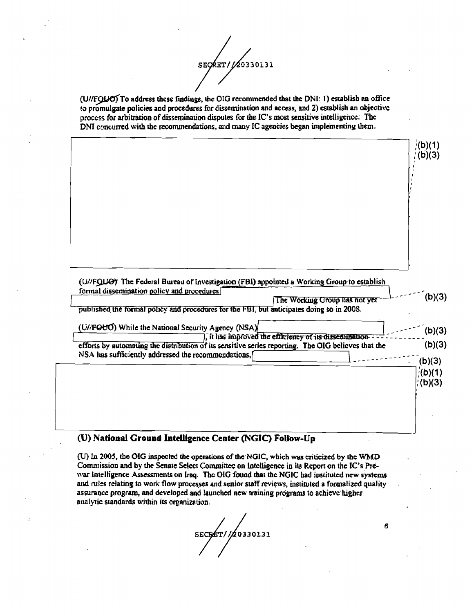$\frac{1}{20330131}$ SECRET/

(U//FQUO) To address these findings, the OIG recommended that the DNI: 1) establish an office to promulgate policies and procedures for dissemination and access, and 2) establish an objective process for arbitration of dissemination disputes for the IC's most sensitive intelligence. The DNI concurred with the recommendations, and many IC agencies began implementing them.

|                                                                                                                            | $($ (b)(1)<br>; (b)(3)                                        |
|----------------------------------------------------------------------------------------------------------------------------|---------------------------------------------------------------|
|                                                                                                                            |                                                               |
|                                                                                                                            |                                                               |
|                                                                                                                            |                                                               |
|                                                                                                                            |                                                               |
|                                                                                                                            |                                                               |
| (U//FQLIO) The Federal Bureau of Investigation (FBI) appointed a Working Group to establish                                |                                                               |
|                                                                                                                            |                                                               |
| formal dissemination policy and procedures                                                                                 |                                                               |
| The Working Group has not yet<br>published the formal policy and procedures for the FBI, but anticipates doing so in 2008. |                                                               |
|                                                                                                                            |                                                               |
| (U//FOUO) While the National Security Agency (NSA)<br>, it has improved the efficiency of its dissemination - -            |                                                               |
| efforts by automating the distribution of its sensitive series reporting. The OIG believes that the                        |                                                               |
| NSA has sufficiently addressed the recommendations,                                                                        |                                                               |
|                                                                                                                            |                                                               |
|                                                                                                                            |                                                               |
|                                                                                                                            |                                                               |
|                                                                                                                            |                                                               |
|                                                                                                                            | (b)(3)<br>(b)(3)<br>(b)(3)<br>(b)(3)<br>$($ (b)(1)<br>;(b)(3) |

### (U) National Ground Intelligence Center (NGIC) Follow-Up

(U) In 2005, the OIG inspected the operations of the NGIC, which was criticized by the WMD Commission and by the Senate Select Committee on Intelligence in its Report on the IC's Prewar intelligence Assessments on Iraq. The OIG found that the NGIC had instituted new systems and rules relating to work flow processes and senior staff reviews, instituted a formalized quality assurance program, and developed and launched new training programs to achieve higher analytic standards within its organization.

SECRET//20330131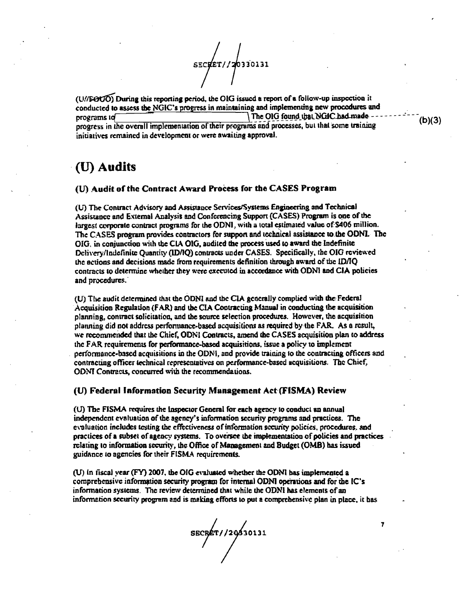SECRET//20330131

(U//FOUO) During this reporting period, the OIG issued a report of a follow-up inspection it conducted to assess the NGIC's progress in maintaining and implementing new procedures and The OIG found that NGIC had made -programs id progress in the overall implementation of their programs and processes, but that some training initiatives remained in development or were awaiting approval.

## (U) Audits

#### (U) Audit of the Contract Award Process for the CASES Program

(U) The Contract Advisory and Assistance Services/Systems Engineering and Technical Assistance and External Analysis and Conferencing Support (CASES) Program is one of the largest corporate contract programs for the ODNI, with a total estimated value of \$406 million. The CASES program provides contractors for support and technical assistance to the ODNL. The OIG, in conjunction with the CIA OIG, audited the process used to award the Indefinite Delivery/Indefinite Quantity (ID/IO) contracts under CASES. Specifically, the OIG reviewed the actions and decisions made from requirements definition through award of the ID/IQ contracts to determine whether they were executed in accordance with ODNI and CIA policies and procedures.

(U) The audit determined that the ODNI and the CIA generally complied with the Federal Acquisition Regulation (FAR) and the CIA Contracting Manual in conducting the acquisition planning, contract solicitation, and the source selection procedures. However, the acquisition planning did not address performance-based acquisitions as required by the FAR. As a result, we recommended that the Chief, ODNI Contracts, amend the CASES acquisition plan to address the FAR requirements for performance-based acquisitions, issue a policy to implement performance-based acquisitions in the ODN1, and provide training to the contracting officers and contracting officer technical representatives on performance-based acquisitions. The Chief, ODNI Contracts, concurred with the recommendations.

#### (U) Federal Information Security Management Act (FISMA) Review

(U) The FISMA requires the Inspector General for each agency to conduct an annual independent evaluation of the agency's information security programs and practices. The evaluation includes testing the effectiveness of information security policies, procedures, and practices of a subset of agency systems. To oversee the implementation of policies and practices relating to information security, the Office of Management and Budget (OMB) has issued guidance to agencies for their FISMA requirements.

(U) in fiscal year (FY) 2007, the OIG evaluated whether the ODNI has implemented a comprehensive information security program for internal ODNI operations and for the IC's information systems. The review determined that while the ODNI has elements of an information security program and is making efforts to put a comprehensive plan in place, it has

SECRET//20030131

 $(b)(3)$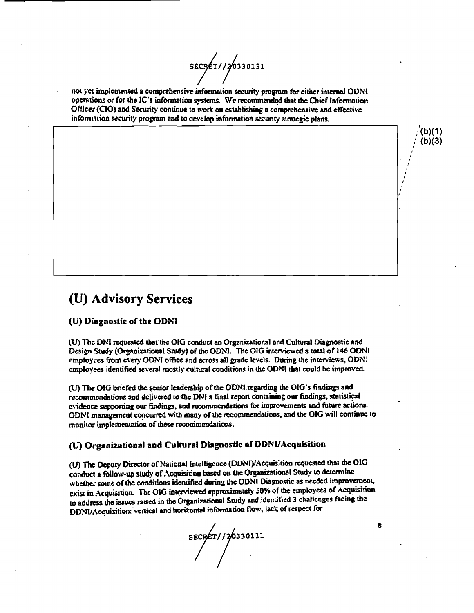SECPET//20330131

not vet implemented a comprehensive information security program for either internal ODNI operations or for the IC's information systems. We recommended that the Chief Information Officer (CIO) and Security continue to work on establishing a comprehensive and effective information security program and to develop information security strategic plans.

### (U) Advisory Services

### (U) Diagnostic of the ODNI

(U) The DNI requested that the OIG conduct an Organizational and Cultural Diagnostic and Design Study (Organizational Study) of the ODNI. The OIG interviewed a total of 146 ODNI employees from every ODNI office and across all grade levels. During the interviews, ODNI employees identified several mostly cultural conditions in the ODNI that could be improved.

(U) The OIG briefed the senior leadership of the ODNI regarding the OIG's findings and recommendations and delivered to the DNI a final report containing our findings, statistical evidence supporting our findings, and recommendations for improvements and future actions. ODNI management concurred with many of the recommendations, and the OIG will continue to monitor implementation of these recommendations.

### (U) Organizational and Cultural Diagnostic of DDNI/Acquisition

(U) The Deputy Director of National Intelligence (DDNI)/Acquisition requested that the OIG conduct a follow-up study of Acquisition based on the Organizational Study to determine whether some of the conditions identified during the ODNI Diagnostic as needed improvement, exist in Acquisition. The OIG interviewed approximately 50% of the employees of Acquisition to address the issues raised in the Organizational Study and identified 3 challenges facing the DDNI/Acquisition: vertical and horizontal information flow, lack of respect for

SECRET//20330131

8

 $b)(1)$  $(b)(3)$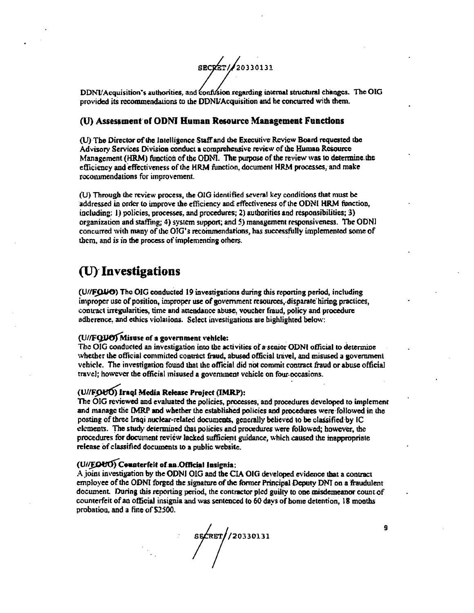SECRET/20330131

DDNVAcquisition's authorities, and confusion regarding internal structural changes. The OIG provided its recommendations to the DDNL'Acquisition and he concurred with them.

### (U) Assessment of ODNI Human Resource Management Functions

(U) The Director of the Intelligence Staff and the Executive Review Board requested the Advisory Services Division conduct a comprehensive review of the Human Resource Management (HRM) function of the ODNI. The purpose of the review was to determine the efficiency and effectiveness of the HRM function, document HRM processes, and make recommendations for improvement.

(U) Through the review process, the OIG identified several key conditions that must be addressed in order to improve the efficiency and effectiveness of the ODNI HRM function, including: 1) policies, processes, and procedures; 2) authorities and responsibilities; 3) organization and staffing; 4) system support; and 5) management responsiveness. The ODNI concurred with many of the OIG's recommendations, has successfully implemented some of them, and is in the process of implementing others.

### (U) Investigations

(U//FOUO) The OIG conducted 19 investigations during this reporting period, including improper use of position, improper use of government resources, disparate hiring practices, contract irregularities, time and attendance abuse, voucher fraud, policy and procedure adherence, and ethics violations. Select investigations are highlighted below:

### (U//FQUO) Misuse of a government vehicle:

The OIG conducted an investigation into the activities of a senior ODNI official to determine whether the official committed contract fraud, abused official travel, and misused a government vehicle. The investigation found that the official did not commit contract fraud or abuse official travel; however the official misused a government vehicle on four occasions.

### (U//FOUO) Iraqi Media Release Project (IMRP):

The OIG reviewed and evaluated the policies, processes, and procedures developed to implement and manage the IMRP and whether the established policies and procedures were followed in the posting of three Iraqi nuclear-related documents, generally believed to be classified by IC elements. The study determined that policies and procedures were followed; however, the procedures for document review lacked sufficient guidance, which caused the inappropriate release of classified documents to a public website.

### (U//EOUO) Counterfeit of an Official Insignia:

A joint investigation by the ODNI OIG and the CIA OIG developed evidence that a contract employee of the ODNI forged the signature of the former Principal Deputy DNI on a fraudulent document. During this reporting period, the contractor pled guilty to one misdemeanor count of counterfeit of an official insignia and was sentenced to 60 days of home detention, 18 months probation, and a fine of \$2500.

SECRET / 20330131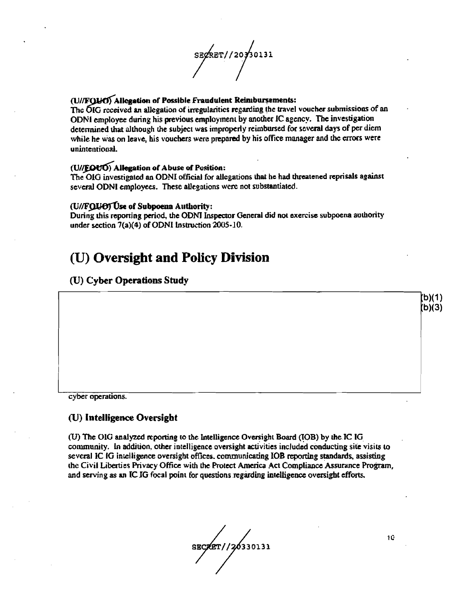SEGRET//2030131

### (U//FOUO) Allegation of Possible Fraudulent Reimbursements:

The OIG received an allegation of irregularities regarding the travel voucher submissions of an ODNI employee during his previous employment by another IC agency. The investigation determined that although the subject was improperly reimbursed for several days of per diem while he was on leave, his vouchers were prepared by his office manager and the errors were unintentional.

### (U//EQUO) Allegation of Abuse of Position:

The OIG investigated an ODNI official for allegations that he had threatened reprisals against several ODNI employees. These allegations were not substantiated.

#### (U//FOUOTUse of Subpoena Authority:

During this reporting period, the ODNI Inspector General did not exercise subpoena authority under section 7(a)(4) of ODNI Instruction 2005-10.

## (U) Oversight and Policy Division

### (U) Cyber Operations Study

cyber operations.

### (U) Intelligence Oversight

(U) The OIG analyzed reporting to the Intelligence Oversight Board (IOB) by the IC IG community. In addition, other intelligence oversight activities included conducting site visits to several IC IG intelligence oversight offices, communicating IOB reporting standards, assisting the Civil Liberties Privacy Office with the Protect America Act Compliance Assurance Program. and serving as an IC IG focal point for questions regarding intelligence oversight efforts.

SECRET//20330131

10

(b)(1)  $(b)(3)$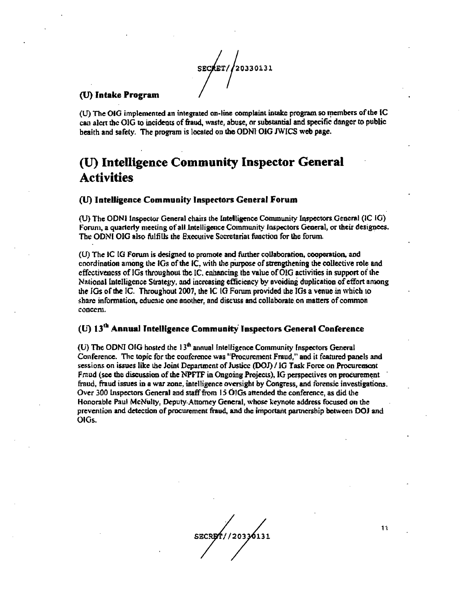SECRET/20330131

### (U) Intake Program

(U) The OIG implemented an integrated on-line complaint intake program so members of the IC can alert the OIG to incidents of fraud, waste, abuse, or substantial and specific danger to public health and safety. The program is located on the ODNI OIG JWICS web page.

# (U) Intelligence Community Inspector General **Activities**

### (U) Intelligence Community Inspectors General Forum

(U) The ODNI Inspector General chairs the Intelligence Community Inspectors General (IC IG) Forum, a quarterly meeting of all Intelligence Community Inspectors General, or their designees. The ODNI OIG also fulfills the Executive Secretariat function for the forum.

(U) The IC IG Forum is designed to promote and further collaboration, cooperation, and coordination among the IGs of the IC, with the purpose of strengthening the collective role and effectiveness of IGs throughout the IC, enhancing the value of OIG activities in support of the National Intelligence Strategy, and increasing efficiency by avoiding duplication of effort among the IGs of the IC. Throughout 2007, the IC IG Forum provided the IGs a venue in which to share information, educate one another, and discuss and collaborate on matters of common concern.

### (U) 13<sup>th</sup> Annual Intelligence Community Inspectors General Conference

(U) The ODNI OIG hosted the  $13<sup>th</sup>$  annual Intelligence Community Inspectors General Conference. The topic for the conference was "Procurement Fraud," and it featured panels and sessions on issues like the Joint Department of Justice (DOJ) / IG Task Force on Procurement Fraud (see the discussion of the NPFTF in Ongoing Projects), IG perspectives on procurement fraud, fraud issues in a war zone, intelligence oversight by Congress, and forensic investigations. Over 300 Inspectors General and staff from 15 OlGs attended the conference, as did the Honorable Paul McNulty, Deputy Attorney General, whose keynote address focused on the prevention and detection of procurement fraud, and the important partnership between DOJ and OIGs.

SECRET//20330131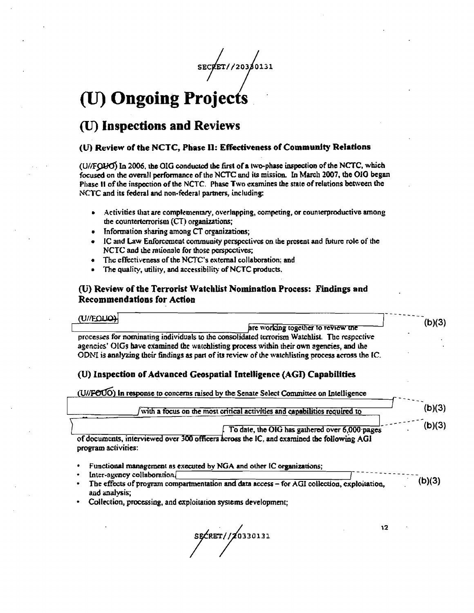SECRET//203/0131

# (U) Ongoing Projects

## (U) Inspections and Reviews

### (U) Review of the NCTC, Phase II: Effectiveness of Community Relations

(U//FQUO) In 2006, the OIG conducted the first of a two-phase inspection of the NCTC, which focused on the overall performance of the NCTC and its mission. In March 2007, the OIG began Phase II of the inspection of the NCTC. Phase Two examines the state of relations between the NCTC and its federal and non-federal partners, including:

- Activities that are complementary, overlapping, competing, or counterproductive among  $\bullet$ the counterterrorism (CT) organizations;
- Information sharing among CT organizations;  $\bullet$
- IC and Law Enforcement community perspectives on the present and future role of the  $\bullet$ NCTC and the rationale for those perspectives;
- $\bullet$ The effectiveness of the NCTC's external collaboration; and
- The quality, utility, and accessibility of NCTC products.  $\bullet$

### (U) Review of the Terrorist Watchlist Nomination Process: Findings and Recommendations for Action

| <b>HOUGHIUD</b><br>are working together to review the<br>processes for nominating individuals to the consolidated terrorism Watchlist. The respective<br>agencies' OIGs have examined the watchlisting process within their own agencies, and the | (b)(3) |
|---------------------------------------------------------------------------------------------------------------------------------------------------------------------------------------------------------------------------------------------------|--------|
| ODNI is analyzing their findings as part of its review of the watchlisting process across the IC.<br>(U) Inspection of Advanced Geospatial Intelligence (AGI) Capabilities                                                                        |        |

| (U//FOUO) in response to concerns raised by the Senate Select Committee on Intelligence                          |        |
|------------------------------------------------------------------------------------------------------------------|--------|
| with a focus on the most critical activities and capabilities required to                                        | (b)(3) |
| To date, the OIG has gathered over 6,000 pages                                                                   | (b)(3) |
| of documents, interviewed over 300 officers across the IC. and examined the following AGI<br>program activities: |        |

Functional management as executed by NGA and other IC organizations;

- Inter-agency collaboration
- $(b)(3)$ The effects of program compartmentation and data access - for AGI collection, exploitation, and analysis;
- Collection, processing, and exploitation systems development;

SE CRET / / 20330131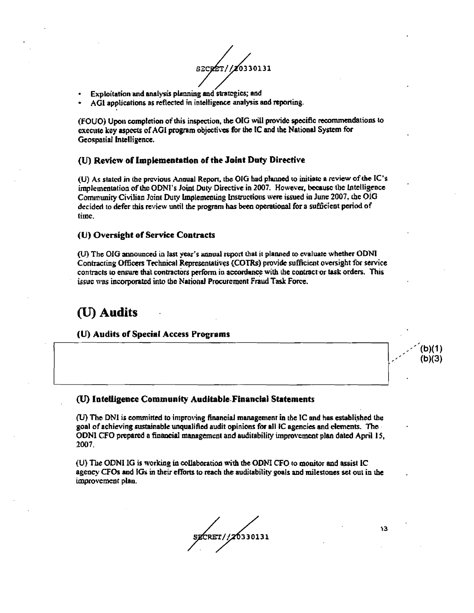SECRET//20330131

- Exploitation and analysis planning and strategies; and
- AGI applications as reflected in intelligence analysis and reporting.

(FOUO) Upon completion of this inspection, the OIG will provide specific recommendations to execute key aspects of AGI program objectives for the IC and the National System for Geospatial Intelligence.

### (U) Review of Implementation of the Joint Duty Directive

(U) As stated in the previous Annual Report, the OIG had planned to initiate a review of the IC's implementation of the ODNI's Joint Duty Directive in 2007. However, because the Intelligence Community Civilian Joint Duty Implementing Instructions were issued in June 2007, the OIG decided to defer this review until the program has been operational for a sufficient period of time.

### (U) Oversight of Service Contracts

(U) The OIG announced in last year's annual report that it planned to evaluate whether ODNI Contracting Officers Technical Representatives (COTRs) provide sufficient oversight for service contracts to ensure that contractors perform in accordance with the contract or task orders. This issue was incorporated into the National Procurement Fraud Task Force.

### (U) Audits

(U) Audits of Special Access Programs

#### (U) Intelligence Community Auditable Financial Statements

(U) The DNI is committed to improving financial management in the IC and has established the goal of achieving sustainable unqualified audit opinions for all IC agencies and elements. The ODNI CFO prepared a financial management and auditability improvement plan dated April 15, 2007.

(U) The ODNI IG is working in collaboration with the ODNI CFO to monitor and assist IC agency CFOs and IGs in their efforts to reach the auditability goals and milestones set out in the improvement plan.

SZCRET//20330131

13

(b)(1)  $(b)(3)$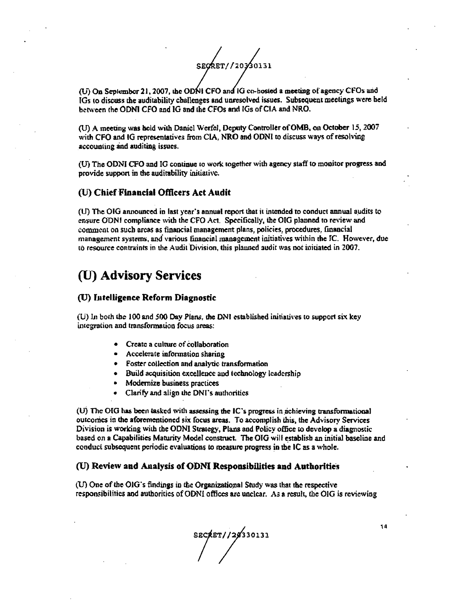SEORET//20330131

(U) On September 21, 2007, the ODNI CFO and IG co-hosted a meeting of agency CFOs and IGs to discuss the auditability challenges and unresolved issues. Subsequent meetings were held between the ODNI CFO and IG and the CFOs and IGs of CIA and NRO.

(U) A meeting was held with Daniel Werfel, Deputy Controller of OMB, on October 15, 2007 with CFO and IG representatives from CIA. NRO and ODNI to discuss wavs of resolving accounting and auditing issues.

(U) The ODNI CFO and IG continue to work together with agency staff to monitor progress and provide support in the auditability initiative.

#### (U) Chief Financial Officers Act Audit

(U) The OIG announced in last year's annual report that it intended to conduct annual audits to ensure ODNI compliance with the CFO Act. Specifically, the OIG planned to review and comment on such areas as financial management plans, policies, procedures, financial management systems, and various financial management initiatives within the IC. However, due to resource contraints in the Audit Division, this planned audit was not initiated in 2007.

### (U) Advisory Services

### (U) Intelligence Reform Diagnostic

(U) In both the 100 and 500 Day Plans, the DNI established initiatives to support six key integration and transformation focus areas:

- Create a culture of collaboration
- Accelerate information sharing
- Foster collection and analytic transformation
- Build acquisition excellence and technology leadership
- Modernize business practices
- Clarify and align the DNI's authorities

 $(U)$  The OIG has been tasked with assessing the IC's progress in achieving transformational outcomes in the aforementioned six focus areas. To accomplish this, the Advisory Services Division is working with the ODNI Strategy, Plans and Policy office to develop a diagnostic based on a Capabilities Maturity Model construct. The OIG will establish an initial baseline and conduct subsequent periodic evaluations to measure progress in the IC as a whole.

### (U) Review and Analysis of ODNI Responsibilities and Authorities

(U) One of the OIG's findings in the Organizational Study was that the respective responsibilities and authorities of ODNI offices are unclear. As a result, the OIG is reviewing

\*\*\*//28330131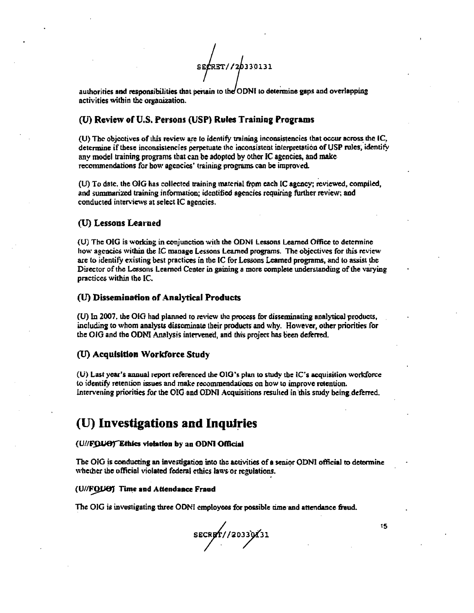SECRET//20330131

authorities and responsibilities that pertain to the ODNI to determine gaps and overlapping activities within the organization.

### (U) Review of U.S. Persons (USP) Rules Training Programs

(U) The objectives of this review are to identify training inconsistencies that occur across the IC, determine if these inconsistencies perpetuate the inconsistent interpretation of USP rules, identify any model training programs that can be adopted by other IC agencies, and make recommendations for how agencies' training programs can be improved.

(U) To date, the OIG has collected training material from each IC agency; reviewed, compiled, and summarized training information; identified agencies requiring further review; and conducted interviews at select IC agencies.

### (U) Lessons Learned

(U) The OIG is working in conjunction with the ODNI Lessons Learned Office to determine how agencies within the IC manage Lessons Learned programs. The objectives for this review are to identify existing best practices in the IC for Lessons Learned programs, and to assist the Director of the Lessons Learned Center in gaining a more complete understanding of the varying practices within the IC.

### (U) Dissemination of Analytical Products

(U) In 2007, the OIG had planned to review the process for disseminating analytical products, including to whom analysts disseminate their products and why. However, other priorities for the OIG and the ODNI Analysis intervened, and this project has been deferred.

### (U) Acquisition Workforce Study

(U) Last year's annual report referenced the OIG's plan to study the IC's acquisition workforce to identify retention issues and make recommendations on how to improve retention. Intervening priorities for the OIG and ODNI Acquisitions resulted in this study being deferred.

### (U) Investigations and Inquiries

#### (U//FQUO) Ethics violation by an ODNI Official

The OIG is conducting an investigation into the activities of a senior ODNI official to determine whether the official violated federal ethics laws or regulations.

#### (U//FQUO) Time and Attendance Fraud

The OIG is investigating three ODNI employees for possible time and attendance fraud.

SECRET//20339131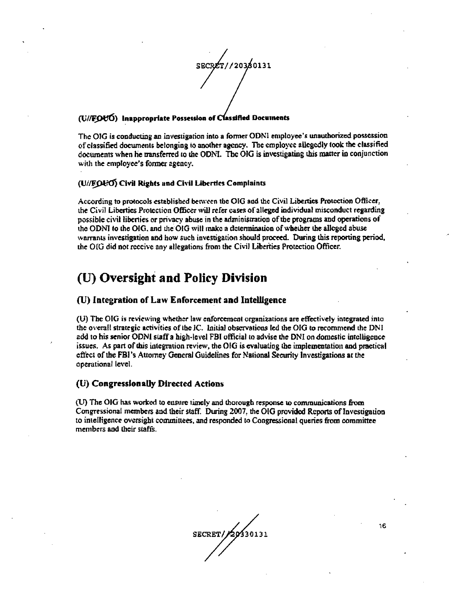SECRET//20380131

#### (U//FOUO) Inappropriate Possession of Classified Documents

The OIG is conducting an investigation into a former ODNI employee's unauthorized possession of classified documents belonging to another agency. The employee allegedly took the classified documents when he transferred to the ODNI. The OIG is investigating this matter in conjunction with the employee's former agency.

### (U//FOl-O) Civil Rights and Civil Liberties Complaints

According to protocols established between the OIG and the Civil Liberties Protection Officer, the Civil Liberties Protection Officer will refer cases of alleged individual misconduct regarding possible civil liberties or privacy abuse in the administration of the programs and operations of the ODNI to the OIG, and the OIG will make a determination of whether the alleged abuse warrants investigation and how such investigation should proceed. During this reporting period, the OIG did not receive any allegations from the Civil Liberties Protection Officer.

### (U) Oversight and Policy Division

### (U) Integration of Law Enforcement and Intelligence

(U) The OIG is reviewing whether law enforcement organizations are effectively integrated into the overall strategic activities of the IC. Initial observations led the OIG to recommend the DNI add to his senior ODNI staff a high-level FBI official to advise the DNI on domestic intelligence issues. As part of this integration review, the OIG is evaluating the implementation and practical effect of the FBI's Attorney General Guidelines for National Security Investigations at the operational level.

### (U) Congressionally Directed Actions

(U) The OIG has worked to ensure timely and thorough response to communications from Congressional members and their staff. During 2007, the OIG provided Reports of Investigation to intelligence oversight committees, and responded to Congressional queries from committee members and their staffs.

SECRET/20130131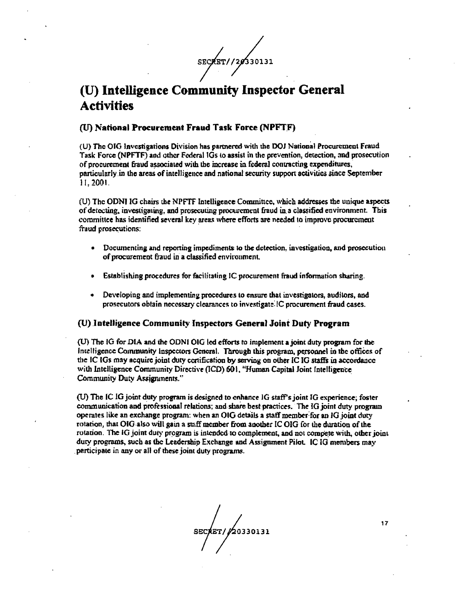SECRET//20330131

# (U) Intelligence Community Inspector General **Activities**

### (U) National Procurement Fraud Task Force (NPFTF)

(U) The OIG Investigations Division has partnered with the DOJ National Procurement Fraud Task Force (NPFTF) and other Federal IGs to assist in the prevention, detection, and prosecution of procurement fraud associated with the increase in federal contracting expenditures, particularly in the areas of intelligence and national security support activities since September 11.2001.

(U) The ODNI IG chairs the NPFTF Intelligence Committee, which addresses the unique aspects of detecting, investigating, and prosecuting procurement fraud in a classified environment. This committee has identified several key areas where efforts are needed to improve procurement fraud prosecutions:

- Documenting and reporting impediments to the detection, investigation, and prosecution of procurement fraud in a classified environment.
- Establishing procedures for facilitating IC procurement fraud information sharing.
- $\bullet$ Developing and implementing procedures to ensure that investigators, auditors, and prosecutors obtain necessary clearances to investigate IC procurement fraud cases.

#### (U) Intelligence Community Inspectors General Joint Duty Program

(U) The IG for DIA and the ODNI OIG led efforts to implement a joint duty program for the Intelligence Community Inspectors General. Through this program, personnel in the offices of the IC IGs may acquire joint duty continuation by serving on other IC IG staffs in accordance with Intelligence Community Directive (ICD) 601, "Human Capital Joint Intelligence Community Duty Assignments."

(U) The IC IG joint duty program is designed to enhance IG staff's joint IG experience; foster communication and professional relations; and share best practices. The IG joint duty program operates like an exchange program: when an OIG details a staff member for an IG joint duty rotation, that OIG also will gain a staff member from another IC OIG for the duration of the rotation. The IG joint duty program is intended to complement, and not compete with, other joint duty programs, such as the Leadership Exchange and Assignment Pilot. IC IG members may participate in any or all of these joint duty programs.

SECRET/20330131